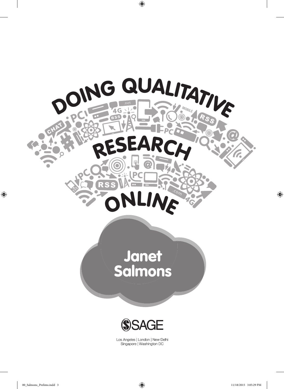

 $\bigoplus$ 



Los Angeles | London | New Delhi Singapore | Washington DC

 $\bigoplus$ 

 $\bigoplus$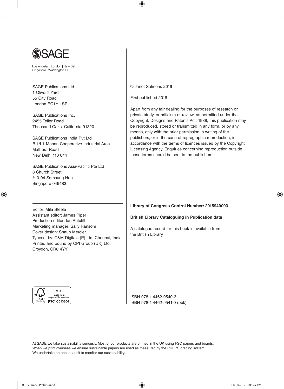

Los Angeles | London | New Delhi Singapore | Washington DC

SAGE Publications Ltd 1 Oliver's Yard 55 City Road London EC1Y 1SP

SAGE Publications Inc. 2455 Teller Road Thousand Oaks, California 91320

SAGE Publications India Pvt Ltd B 1/I 1 Mohan Cooperative Industrial Area Mathura Road New Delhi 110 044

SAGE Publications Asia-Pacific Pte Ltd 3 Church Street #10-04 Samsung Hub Singapore 049483

© Janet Salmons 2016

 $\textcolor{red}{\bigoplus}$ 

First published 2016

Apart from any fair dealing for the purposes of research or private study, or criticism or review, as permitted under the Copyright, Designs and Patents Act, 1988, this publication may be reproduced, stored or transmitted in any form, or by any means, only with the prior permission in writing of the publishers, or in the case of reprographic reproduction, in accordance with the terms of licences issued by the Copyright Licensing Agency. Enquiries concerning reproduction outside those terms should be sent to the publishers.

#### **Library of Congress Control Number: 2015940093**

#### **British Library Cataloguing in Publication data**

A catalogue record for this book is available from the British Library

Printed and bound by CPI Group (UK) Ltd, Croydon, CR0 4YY

Typeset by: C&M Digitals (P) Ltd, Chennai, India



Editor: Mila Steele

⊕

Assistant editor: James Piper Production editor: Ian Antcliff Marketing manager: Sally Ransom Cover design: Shaun Mercier

> ISBN 978-1-4462-9540-3 ISBN 978-1-4462-9541-0 (pbk)

At SAGE we take sustainability seriously. Most of our products are printed in the UK using FSC papers and boards. When we print overseas we ensure sustainable papers are used as measured by the PREPS grading system. We undertake an annual audit to monitor our sustainability.

◈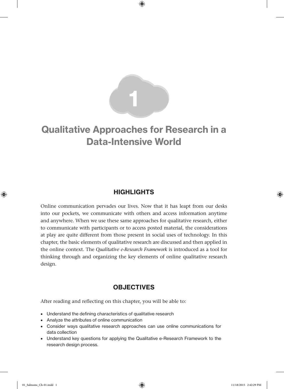

 $\bigoplus$ 

# Qualitative Approaches for Research in a Data-Intensive World

### **HIGHLIGHTS**

Online communication pervades our lives. Now that it has leapt from our desks into our pockets, we communicate with others and access information anytime and anywhere. When we use these same approaches for qualitative research, either to communicate with participants or to access posted material, the considerations at play are quite different from those present in social uses of technology. In this chapter, the basic elements of qualitative research are discussed and then applied in the online context. The *Qualitative e-Research Framework* is introduced as a tool for thinking through and organizing the key elements of online qualitative research design.

### **OBJECTIVES**

After reading and reflecting on this chapter, you will be able to:

- Understand the defining characteristics of qualitative research
- Analyze the attributes of online communication
- • Consider ways qualitative research approaches can use online communications for data collection
- • Understand key questions for applying the Qualitative e-Research Framework to the research design process.

01\_Salmons\_Ch-01.indd 1 11/18/2015 2:42:29 PM

⊕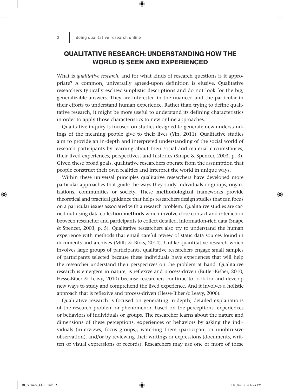### QUALITATIVE RESEARCH: UNDERSTANDING HOW THE WORLD IS SEEN AND EXPERIENCED

 $\bigoplus$ 

What is *qualitative research*, and for what kinds of research questions is it appropriate? A common, universally agreed-upon definition is elusive. Qualitative researchers typically eschew simplistic descriptions and do not look for the big, generalizable answers. They are interested in the nuanced and the particular in their efforts to understand human experience. Rather than trying to define qualitative research, it might be more useful to understand its defining characteristics in order to apply those characteristics to new online approaches.

Qualitative inquiry is focused on studies designed to generate new understandings of the meaning people give to their lives (Yin, 2011). Qualitative studies aim to provide an in-depth and interpreted understanding of the social world of research participants by learning about their social and material circumstances, their lived experiences, perspectives, and histories (Snape & Spencer, 2003, p. 3). Given these broad goals, qualitative researchers operate from the assumption that people construct their own realities and interpret the world in unique ways.

Within these universal principles qualitative researchers have developed more particular approaches that guide the ways they study individuals or groups, organizations, communities or society. These **methodological** frameworks provide theoretical and practical guidance that helps researchers design studies that can focus on a particular issues associated with a research problem. Qualitative studies are carried out using data collection **methods** which involve close contact and interaction between researcher and participants to collect detailed, information-rich data (Snape & Spencer, 2003, p. 5). Qualitative researchers also try to understand the human experience with methods that entail careful review of static data sources found in documents and archives (Mills & Birks, 2014). Unlike quantitative research which involves large groups of participants, qualitative researchers engage small samples of participants selected because these individuals have experiences that will help the researcher understand their perspectives on the problem at hand. Qualitative research is emergent in nature, is reflexive and process-driven (Butler-Kisber, 2010; Hesse-Biber & Leavy, 2010) because researchers continue to look for and develop new ways to study and comprehend the lived experience. And it involves a holistic approach that is reflexive and process-driven (Hesse-Biber & Leavy, 2006).

Qualitative research is focused on generating in-depth, detailed explanations of the research problem or phenomenon based on the perceptions, experiences or behaviors of individuals or groups. The researcher learns about the nature and dimensions of these perceptions, experiences or behaviors by asking the individuals (interviews, focus groups), watching them (participant or unobtrusive observation), and/or by reviewing their writings or expressions (documents, written or visual expressions or records). Researchers may use one or more of these

♠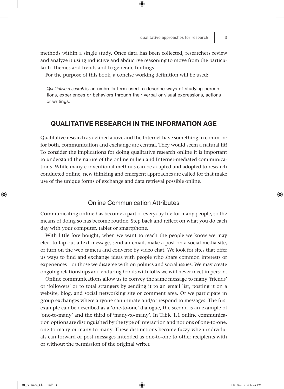methods within a single study. Once data has been collected, researchers review and analyze it using inductive and abductive reasoning to move from the particular to themes and trends and to generate findings.

 $\bigoplus$ 

For the purpose of this book, a concise working definition will be used:

*Qualitative research* is an umbrella term used to describe ways of studying perceptions, experiences or behaviors through their verbal or visual expressions, actions or writings.

### QUALITATIVE RESEARCH IN THE INFORMATION AGE

Qualitative research as defined above and the Internet have something in common: for both, communication and exchange are central. They would seem a natural fit! To consider the implications for doing qualitative research online it is important to understand the nature of the online milieu and Internet-mediated communications. While many conventional methods can be adapted and adopted to research conducted online, new thinking and emergent approaches are called for that make use of the unique forms of exchange and data retrieval possible online.

#### Online Communication Attributes

Communicating online has become a part of everyday life for many people, so the means of doing so has become routine. Step back and reflect on what you do each day with your computer, tablet or smartphone.

With little forethought, when we want to reach the people we know we may elect to tap out a text message, send an email, make a post on a social media site, or turn on the web camera and converse by video chat. We look for sites that offer us ways to find and exchange ideas with people who share common interests or experiences—or those we disagree with on politics and social issues. We may create ongoing relationships and enduring bonds with folks we will never meet in person.

Online communications allow us to convey the same message to many 'friends' or 'followers' or to total strangers by sending it to an email list, posting it on a website, blog, and social networking site or comment area. Or we participate in group exchanges where anyone can initiate and/or respond to messages. The first example can be described as a 'one-to-one' dialogue, the second is an example of 'one-to-many' and the third of 'many-to-many'. In Table 1.1 online communication options are distinguished by the type of interaction and notions of one-to-one, one-to-many or many-to-many. These distinctions become fuzzy when individuals can forward or post messages intended as one-to-one to other recipients with or without the permission of the original writer.

♠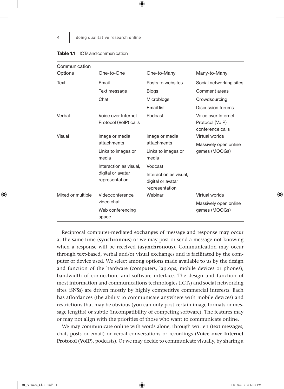| Communication     |                                                               |                                                               |                                                            |  |
|-------------------|---------------------------------------------------------------|---------------------------------------------------------------|------------------------------------------------------------|--|
| Options           | One-to-One                                                    | One-to-Many                                                   | Many-to-Many                                               |  |
| Text              | Email                                                         | Posts to websites                                             | Social networking sites                                    |  |
|                   | Text message                                                  | <b>Blogs</b>                                                  | Comment areas                                              |  |
|                   | Chat                                                          | Microblogs                                                    | Crowdsourcing                                              |  |
|                   |                                                               | <b>Email list</b>                                             | Discussion forums                                          |  |
| Verbal            | Voice over Internet<br>Protocol (VoIP) calls                  | Podcast                                                       | Voice over Internet<br>Protocol (VoIP)<br>conference calls |  |
| Visual            | Image or media                                                | Image or media                                                | Virtual worlds                                             |  |
|                   | attachments                                                   | attachments                                                   | Massively open online<br>games (MOOGs)                     |  |
|                   | Links to images or<br>media                                   | Links to images or<br>media                                   |                                                            |  |
|                   | Interaction as visual,<br>digital or avatar<br>representation | Vodcast                                                       |                                                            |  |
|                   |                                                               | Interaction as visual.<br>digital or avatar<br>representation |                                                            |  |
| Mixed or multiple | Videoconference,                                              | Webinar                                                       | Virtual worlds                                             |  |
|                   | video chat                                                    |                                                               | Massively open online<br>games (MOOGs)                     |  |
|                   | Web conferencing<br>space                                     |                                                               |                                                            |  |

 $\bigoplus$ 

#### Table 1.1 ICTs and communication

Reciprocal computer-mediated exchanges of message and response may occur at the same time (**synchronous**) or we may post or send a message not knowing when a response will be received (**asynchronous**). Communication may occur through text-based, verbal and/or visual exchanges and is facilitated by the computer or device used. We select among options made available to us by the design and function of the hardware (computers, laptops, mobile devices or phones), bandwidth of connection, and software interface. The design and function of most information and communications technologies (ICTs) and social networking sites (SNSs) are driven mostly by highly competitive commercial interests. Each has affordances (the ability to communicate anywhere with mobile devices) and restrictions that may be obvious (you can only post certain image formats or message lengths) or subtle (incompatibility of competing software). The features may or may not align with the priorities of those who want to communicate online.

We may communicate online with words alone, through written (text messages, chat, posts or email) or verbal conversations or recordings (**Voice over Internet Protocol (VoIP),** podcasts). Or we may decide to communicate visually, by sharing a

♠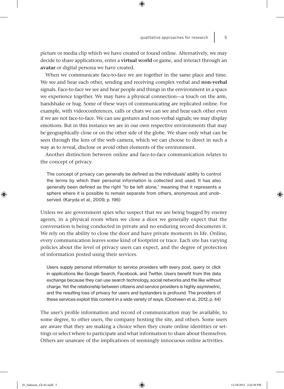picture or media clip which we have created or found online. Alternatively, we may decide to share applications, enter a **virtual world** or game, and interact through an **avatar** or digital persona we have created.

 $\bigoplus$ 

When we communicate face-to-face we are together in the same place and time. We see and hear each other, sending and receiving complex verbal and **non-verbal**  signals. Face-to-face we see and hear people and things in the environment in a space we experience together. We may have a physical connection—a touch on the arm, handshake or hug. Some of these ways of communicating are replicated online. For example, with videoconferences, calls or chats we can see and hear each other even if we are not face-to-face. We can use gestures and non-verbal signals; we may display emotions. But in this instance we are in our own respective environments that may be geographically close or on the other side of the globe. We share only what can be seen through the lens of the web camera, which we can choose to direct in such a way as to reveal, disclose or avoid other elements of the environment.

Another distinction between online and face-to-face communication relates to the concept of privacy.

The concept of privacy can generally be defined as the individuals' ability to control the terms by which their personal information is collected and used. It has also generally been defined as the right "to be left alone," meaning that it represents a sphere where it is possible to remain separate from others, anonymous and unobserved. (Karyda et al., 2009, p. 196)

Unless we are government spies who suspect that we are being bugged by enemy agents, in a physical room when we close a door we generally expect that the conversation is being conducted in private and no enduring record documents it. We rely on the ability to close the door and have private moments in life. Online, every communication leaves some kind of footprint or trace. Each site has varying policies about the level of privacy users can expect, and the degree of protection of information posted using their services.

Users supply personal information to service providers with every post, query or click in applications like Google Search, Facebook, and Twitter. Users benefit from this data exchange because they can use search technology, social networks and the like without charge. Yet the relationship between citizens and service providers is highly asymmetric, and the resulting loss of privacy for users and bystanders is profound. The providers of these services exploit this content in a wide variety of ways. (Oostveen et al., 2012, p. 44)

The user's profile information and record of communication may be available, to some degree, to other users, the company hosting the site, and others. Some users are aware that they are making a choice when they create online identities or settings or select where to participate and what information to share about themselves. Others are unaware of the implications of seemingly innocuous online activities.

♠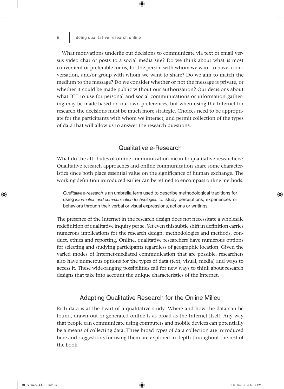What motivations underlie our decisions to communicate via text or email versus video chat or posts to a social media site? Do we think about what is most convenient or preferable for us, for the person with whom we want to have a conversation, and/or group with whom we want to share? Do we aim to match the medium to the message? Do we consider whether or not the message is private, or whether it could be made public without our authorization? Our decisions about what ICT to use for personal and social communications or information gathering may be made based on our own preferences, but when using the Internet for research the decisions must be much more strategic. Choices need to be appropriate for the participants with whom we interact, and permit collection of the types of data that will allow us to answer the research questions.

⊕

### Qualitative e-Research

What do the attributes of online communication mean to qualitative researchers? Qualitative research approaches and online communication share some characteristics since both place essential value on the significance of human exchange. The working definition introduced earlier can be refined to encompass online methods:

*Qualitative e-research* is an umbrella term used to describe methodological traditions for using *information and communication technologies* to study perceptions, experiences or behaviors through their verbal or visual expressions, actions or writings.

The presence of the Internet in the research design does not necessitate a wholesale redefinition of qualitative inquiry per se. Yet even this subtle shift in definition carries numerous implications for the research design, methodologies and methods, conduct, ethics and reporting. Online, qualitative researchers have numerous options for selecting and studying participants regardless of geographic location. Given the varied modes of Internet-mediated communication that are possible, researchers also have numerous options for the types of data (text, visual, media) and ways to access it. These wide-ranging possibilities call for new ways to think about research designs that take into account the unique characteristics of the Internet.

### Adapting Qualitative Research for the Online Milieu

Rich data is at the heart of a qualitative study. Where and how the data can be found, drawn out or generated online is as broad as the Internet itself. Any way that people can communicate using computers and mobile devices can potentially be a means of collecting data. Three broad types of data collection are introduced here and suggestions for using them are explored in depth throughout the rest of the book.

♠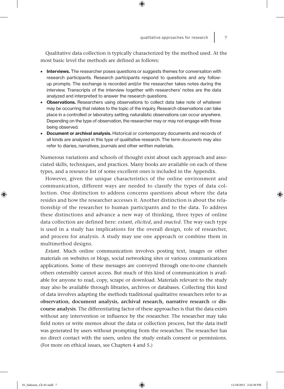Qualitative data collection is typically characterized by the method used. At the most basic level the methods are defined as follows:

 $\textcircled{\scriptsize\textsf{P}}$ 

- Interviews. The researcher poses questions or suggests themes for conversation with research participants. Research participants respond to questions and any followup prompts. The exchange is recorded and/or the researcher takes notes during the interview. Transcripts of the interview together with researchers' notes are the data analyzed and interpreted to answer the research questions.
- Observations. Researchers using observations to collect data take note of whatever may be occurring that relates to the topic of the inquiry. Research observations can take place in a controlled or laboratory setting; naturalistic observations can occur anywhere. Depending on the type of observation, the researcher may or may not engage with those being observed.
- Document or archival analysis. Historical or contemporary documents and records of all kinds are analyzed in this type of qualitative research. The term *documents* may also refer to diaries, narratives, journals and other written materials.

Numerous variations and schools of thought exist about each approach and associated skills, techniques, and practices. Many books are available on each of these types, and a resource list of some excellent ones is included in the Appendix.

However, given the unique characteristics of the online environment and communication, different ways are needed to classify the types of data collection. One distinction to address concerns questions about where the data resides and how the researcher accesses it. Another distinction is about the relationship of the researcher to human participants and to the data. To address these distinctions and advance a new way of thinking, three types of online data collection are defined here: *extant*, *elicited***,** and *enacted*. The way each type is used in a study has implications for the overall design, role of researcher, and process for analysis. A study may use one approach or combine them in multimethod designs.

*Extant*. Much online communication involves posting text, images or other materials on websites or blogs, social networking sites or various communications applications. Some of these messages are conveyed through one-to-one channels others ostensibly cannot access. But much of this kind of communication is available for anyone to read, copy, scrape or download. Materials relevant to the study may also be available through libraries, archives or databases. Collecting this kind of data involves adapting the methods traditional qualitative researchers refer to as **observation, document analysis, archival research, narrative research** or **discourse analysis**. The differentiating factor of these approaches is that the data exists without any intervention or influence by the researcher. The researcher may take field notes or write memos about the data or collection process, but the data itself was generated by users without prompting from the researcher. The researcher has no direct contact with the users, unless the study entails consent or permissions. (For more on ethical issues, see Chapters 4 and 5.)

♠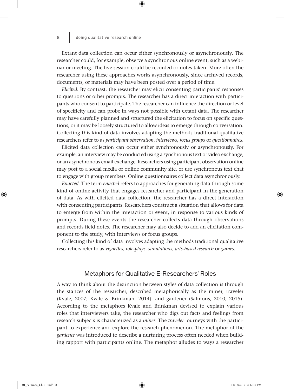Extant data collection can occur either synchronously or asynchronously. The researcher could, for example, observe a synchronous online event, such as a webinar or meeting. The live session could be recorded or notes taken. More often the researcher using these approaches works asynchronously, since archived records, documents, or materials may have been posted over a period of time.

 $\bigoplus$ 

*Elicited*. By contrast, the researcher may elicit consenting participants' responses to questions or other prompts. The researcher has a direct interaction with participants who consent to participate. The researcher can influence the direction or level of specificity and can probe in ways not possible with extant data. The researcher may have carefully planned and structured the elicitation to focus on specific questions, or it may be loosely structured to allow ideas to emerge through conversation. Collecting this kind of data involves adapting the methods traditional qualitative researchers refer to as *participant observation*, *interviews*, *focus groups* or *questionnaires*.

Elicited data collection can occur either synchronously or asynchronously. For example, an interview may be conducted using a synchronous text or video exchange, or an asynchronous email exchange. Researchers using participant observation online may post to a social media or online community site, or use synchronous text chat to engage with group members. Online questionnaires collect data asynchronously.

*Enacted*. The term *enacted* refers to approaches for generating data through some kind of online activity that engages researcher and participant in the generation of data. As with elicited data collection, the researcher has a direct interaction with consenting participants. Researchers construct a situation that allows for data to emerge from within the interaction or event, in response to various kinds of prompts. During these events the researcher collects data through observations and records field notes. The researcher may also decide to add an elicitation component to the study, with interviews or focus groups.

Collecting this kind of data involves adapting the methods traditional qualitative researchers refer to as *vignettes*, *role-plays*, *simulations*, *arts-based research* or *games*.

### Metaphors for Qualitative E-Researchers' Roles

A way to think about the distinction between styles of data collection is through the stances of the researcher, described metaphorically as the miner, traveler (Kvale, 2007; Kvale & Brinkman, 2014), and gardener (Salmons, 2010, 2015). According to the metaphors Kvale and Brinkman devised to explain various roles that interviewers take, the researcher who digs out facts and feelings from research subjects is characterized as a *miner*. The *traveler* journeys with the participant to experience and explore the research phenomenon. The metaphor of the *gardener* was introduced to describe a nurturing process often needed when building rapport with participants online. The metaphor alludes to ways a researcher

♠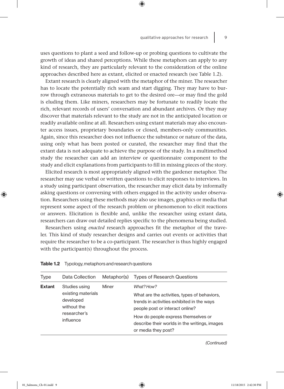uses questions to plant a seed and follow-up or probing questions to cultivate the growth of ideas and shared perceptions. While these metaphors can apply to any kind of research, they are particularly relevant to the consideration of the online approaches described here as extant, elicited or enacted research (see Table 1.2).

 $\bigoplus$ 

Extant research is clearly aligned with the metaphor of the miner. The researcher has to locate the potentially rich seam and start digging. They may have to burrow through extraneous materials to get to the desired ore—or may find the gold is eluding them. Like miners, researchers may be fortunate to readily locate the rich, relevant records of users' conversation and abundant archives. Or they may discover that materials relevant to the study are not in the anticipated location or readily available online at all. Researchers using extant materials may also encounter access issues, proprietary boundaries or closed, members-only communities. Again, since this researcher does not influence the substance or nature of the data, using only what has been posted or curated, the researcher may find that the extant data is not adequate to achieve the purpose of the study. In a multimethod study the researcher can add an interview or questionnaire component to the study and elicit explanations from participants to fill in missing pieces of the story.

Elicited research is most appropriately aligned with the gardener metaphor. The researcher may use verbal or written questions to elicit responses to interviews. In a study using participant observation, the researcher may elicit data by informally asking questions or conversing with others engaged in the activity under observation. Researchers using these methods may also use images, graphics or media that represent some aspect of the research problem or phenomenon to elicit reactions or answers. Elicitation is flexible and, unlike the researcher using extant data, researchers can draw out detailed replies specific to the phenomena being studied.

Researchers using *enacted* research approaches fit the metaphor of the traveler. This kind of study researcher designs and carries out events or activities that require the researcher to be a co-participant. The researcher is thus highly engaged with the participant(s) throughout the process.

| <b>Type</b>   | Data Collection                                                                              |       | Metaphor(s) Types of Research Questions                                                                                                                                                                                                                    |
|---------------|----------------------------------------------------------------------------------------------|-------|------------------------------------------------------------------------------------------------------------------------------------------------------------------------------------------------------------------------------------------------------------|
| <b>Extant</b> | Studies using<br>existing materials<br>developed<br>without the<br>researcher's<br>influence | Miner | What? How?<br>What are the activities, types of behaviors,<br>trends in activities exhibited in the ways<br>people post or interact online?<br>How do people express themselves or<br>describe their worlds in the writings, images<br>or media they post? |

| Table 1.2 | Typology, metaphors and research questions |  |
|-----------|--------------------------------------------|--|
|-----------|--------------------------------------------|--|

*(Continued)*

♠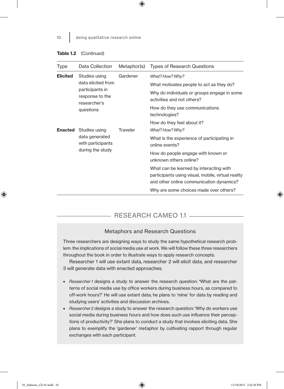#### Table 1.2 (Continued)

| Type            | Data Collection                                                                       | Metaphor(s) | <b>Types of Research Questions</b>                                                                                                        |
|-----------------|---------------------------------------------------------------------------------------|-------------|-------------------------------------------------------------------------------------------------------------------------------------------|
| <b>Elicited</b> | Studies using                                                                         | Gardener    | What? How? Why?                                                                                                                           |
|                 | data elicited from<br>participants in<br>response to the<br>researcher's<br>questions |             | What motivates people to act as they do?                                                                                                  |
|                 |                                                                                       |             | Why do individuals or groups engage in some<br>activities and not others?                                                                 |
|                 |                                                                                       |             | How do they use communications<br>technologies?                                                                                           |
|                 |                                                                                       |             | How do they feel about it?                                                                                                                |
| <b>Enacted</b>  | Studies using<br>data generated<br>with participants<br>during the study              | Traveler    | What? How? Why?                                                                                                                           |
|                 |                                                                                       |             | What is the experience of participating in<br>online events?                                                                              |
|                 |                                                                                       |             | How do people engage with known or<br>unknown others online?                                                                              |
|                 |                                                                                       |             | What can be learned by interacting with<br>participants using visual, mobile, virtual reality<br>and other online communication dynamics? |
|                 |                                                                                       |             | Why are some choices made over others?                                                                                                    |

 $\bigoplus$ 

### RESEARCH CAMEO 1.1

#### Metaphors and Research Questions

Three researchers are designing ways to study the same hypothetical research problem: the implications of social media use at work. We will follow these three researchers throughout the book in order to illustrate ways to apply research concepts.

Researcher 1 will use extant data, researcher 2 will elicit data, and researcher 3 will generate data with enacted approaches.

- *Researcher 1* designs a study to answer the research question: 'What are the patterns of social media use by office workers during business hours, as compared to off-work hours?' He will use extant data; he plans to 'mine' for data by reading and studying users' activities and discussion archives.
- *Researcher 2* designs a study to answer the research question: 'Why do workers use social media during business hours and how does such use influence their perceptions of productivity?' She plans to conduct a study that involves eliciting data. She plans to exemplify the 'gardener' metaphor by cultivating rapport through regular exchanges with each participant.

⊕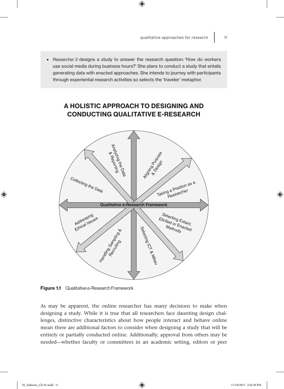• *Researcher 3* designs a study to answer the research question: 'How do workers use social media during business hours?' She plans to conduct a study that entails generating data with enacted approaches. She intends to journey with participants through experiential research activities so selects the 'traveler' metaphor.

 $\bigoplus$ 

## A HOLISTIC APPROACH TO DESIGNING AND CONDUCTING QUALITATIVE E-RESEARCH



Figure 1.1 Qualitative e-Research Framework

As may be apparent, the online researcher has many decisions to make when designing a study. While it is true that all researchers face daunting design challenges, distinctive characteristics about how people interact and behave online mean there are additional factors to consider when designing a study that will be entirely or partially conducted online. Additionally, approval from others may be needed—whether faculty or committees in an academic setting, editors or peer

⊕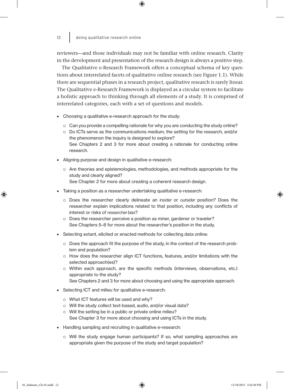reviewers—and those individuals may not be familiar with online research. Clarity in the development and presentation of the research design is always a positive step.

⊕

The Qualitative e-Research Framework offers a conceptual schema of key questions about interrelated facets of qualitative online research (see Figure 1.1). While there are sequential phases in a research project, qualitative research is rarely linear. The Qualitative e-Research Framework is displayed as a circular system to facilitate a holistic approach to thinking through all elements of a study. It is comprised of interrelated categories, each with a set of questions and models.

- Choosing a qualitative e-research approach for the study:
	- $\circ$  Can you provide a compelling rationale for why you are conducting the study online?
	- $\circ$  Do ICTs serve as the communications medium, the setting for the research, and/or the phenomenon the inquiry is designed to explore? See Chapters 2 and 3 for more about creating a rationale for conducting online research.
- Aligning purpose and design in qualitative e-research:
	- $\circ$  Are theories and epistemologies, methodologies, and methods appropriate for the study and clearly aligned? See Chapter 2 for more about creating a coherent research design.
- Taking a position as a researcher undertaking qualitative e-research:
	- { Does the researcher clearly delineate an *insider* or *outsider* position? Does the researcher explain implications related to that position, including any conflicts of interest or risks of *researcher bias*?
	- $\circ$  Does the researcher perceive a position as miner, gardener or traveler? See Chapters 5–8 for more about the researcher's position in the study.
- Selecting extant, elicited or enacted methods for collecting data online:
	- $\circ$  Does the approach fit the purpose of the study, in the context of the research problem and population?
	- $\circ$  How does the researcher align ICT functions, features, and/or limitations with the selected approach(es)?
	- $\circ$  Within each approach, are the specific methods (interviews, observations, etc.) appropriate to the study?
		- See Chapters 2 and 3 for more about choosing and using the appropriate approach.
- Selecting ICT and milieu for qualitative e-research:
	- $\circ$  What ICT features will be used and why?
	- o Will the study collect text-based, audio, and/or visual data?
	- $\circ$  Will the setting be in a public or private online milieu? See Chapter 3 for more about choosing and using ICTs in the study.
- Handling sampling and recruiting in qualitative e-research:
	- { Will the study engage human participants? If so, what sampling approaches are appropriate given the purpose of the study and target population?

♠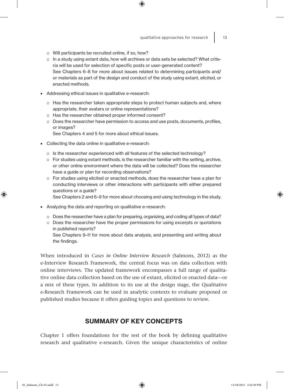- $\circ$  Will participants be recruited online, if so, how?
- $\circ$  In a study using extant data, how will archives or data sets be selected? What criteria will be used for selection of specific posts or user-generated content? See Chapters 6–8 for more about issues related to determining participants and/ or materials as part of the design and conduct of the study using extant, elicited, or enacted methods.

⊕

- • Addressing ethical issues in qualitative e-research:
	- $\circ$  Has the researcher taken appropriate steps to protect human subjects and, where appropriate, their avatars or online representations?
	- $\circ$  Has the researcher obtained proper informed consent?
	- $\circ$  Does the researcher have permission to access and use posts, documents, profiles, or images?

See Chapters 4 and 5 for more about ethical issues.

- • Collecting the data online in qualitative e-research:
	- $\circ$  Is the researcher experienced with all features of the selected technology?
	- $\circ$  For studies using extant methods, is the researcher familiar with the setting, archive, or other online environment where the data will be collected? Does the researcher have a guide or plan for recording observations?
	- $\circ$  For studies using elicited or enacted methods, does the researcher have a plan for conducting interviews or other interactions with participants with either prepared questions or a guide?

See Chapters 2 and 6–9 for more about choosing and using technology in the study.

- Analyzing the data and reporting on qualitative e-research:
	- $\circ$  Does the researcher have a plan for preparing, organizing, and coding all types of data?
	- $\circ$  Does the researcher have the proper permissions for using excerpts or quotations in published reports?

See Chapters 9–11 for more about data analysis, and presenting and writing about the findings.

When introduced in *Cases in Online Interview Research* (Salmons, 2012) as the e-Interview Research Framework, the central focus was on data collection with online interviews. The updated framework encompasses a full range of qualitative online data collection based on the use of extant, elicited or enacted data—or a mix of these types. In addition to its use at the design stage, the Qualitative e-Research Framework can be used in analytic contexts to evaluate proposed or published studies because it offers guiding topics and questions to review.

### SUMMARY OF KEY CONCEPTS

Chapter 1 offers foundations for the rest of the book by defining qualitative research and qualitative e-research. Given the unique characteristics of online

⊕